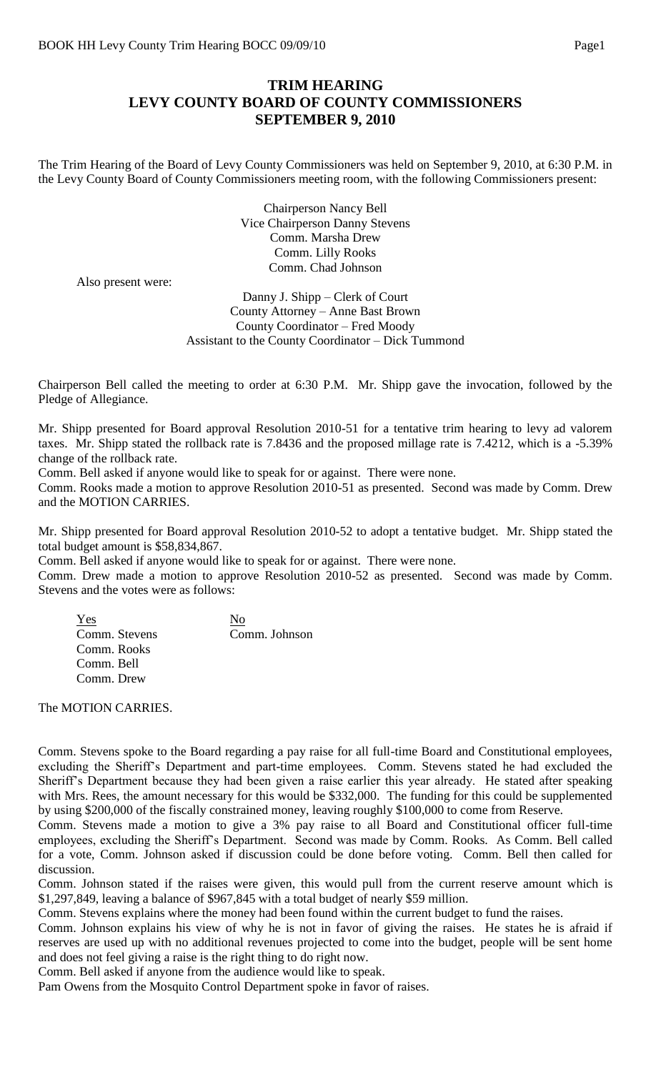## **TRIM HEARING LEVY COUNTY BOARD OF COUNTY COMMISSIONERS SEPTEMBER 9, 2010**

The Trim Hearing of the Board of Levy County Commissioners was held on September 9, 2010, at 6:30 P.M. in the Levy County Board of County Commissioners meeting room, with the following Commissioners present:

> Chairperson Nancy Bell Vice Chairperson Danny Stevens Comm. Marsha Drew Comm. Lilly Rooks Comm. Chad Johnson

Also present were:

Danny J. Shipp – Clerk of Court County Attorney – Anne Bast Brown County Coordinator – Fred Moody Assistant to the County Coordinator – Dick Tummond

Chairperson Bell called the meeting to order at 6:30 P.M. Mr. Shipp gave the invocation, followed by the Pledge of Allegiance.

Mr. Shipp presented for Board approval Resolution 2010-51 for a tentative trim hearing to levy ad valorem taxes. Mr. Shipp stated the rollback rate is 7.8436 and the proposed millage rate is 7.4212, which is a -5.39% change of the rollback rate.

Comm. Bell asked if anyone would like to speak for or against. There were none.

Comm. Rooks made a motion to approve Resolution 2010-51 as presented. Second was made by Comm. Drew and the MOTION CARRIES.

Mr. Shipp presented for Board approval Resolution 2010-52 to adopt a tentative budget. Mr. Shipp stated the total budget amount is \$58,834,867.

Comm. Bell asked if anyone would like to speak for or against. There were none.

Comm. Drew made a motion to approve Resolution 2010-52 as presented. Second was made by Comm. Stevens and the votes were as follows:

| Yes           | Nο            |
|---------------|---------------|
| Comm. Stevens | Comm. Johnson |
| Comm. Rooks   |               |
| Comm. Bell    |               |
| Comm. Drew    |               |

The MOTION CARRIES.

Comm. Stevens spoke to the Board regarding a pay raise for all full-time Board and Constitutional employees, excluding the Sheriff's Department and part-time employees. Comm. Stevens stated he had excluded the Sheriff's Department because they had been given a raise earlier this year already. He stated after speaking with Mrs. Rees, the amount necessary for this would be \$332,000. The funding for this could be supplemented by using \$200,000 of the fiscally constrained money, leaving roughly \$100,000 to come from Reserve.

Comm. Stevens made a motion to give a 3% pay raise to all Board and Constitutional officer full-time employees, excluding the Sheriff's Department. Second was made by Comm. Rooks. As Comm. Bell called for a vote, Comm. Johnson asked if discussion could be done before voting. Comm. Bell then called for discussion.

Comm. Johnson stated if the raises were given, this would pull from the current reserve amount which is \$1,297,849, leaving a balance of \$967,845 with a total budget of nearly \$59 million.

Comm. Stevens explains where the money had been found within the current budget to fund the raises.

Comm. Johnson explains his view of why he is not in favor of giving the raises. He states he is afraid if reserves are used up with no additional revenues projected to come into the budget, people will be sent home and does not feel giving a raise is the right thing to do right now.

Comm. Bell asked if anyone from the audience would like to speak.

Pam Owens from the Mosquito Control Department spoke in favor of raises.